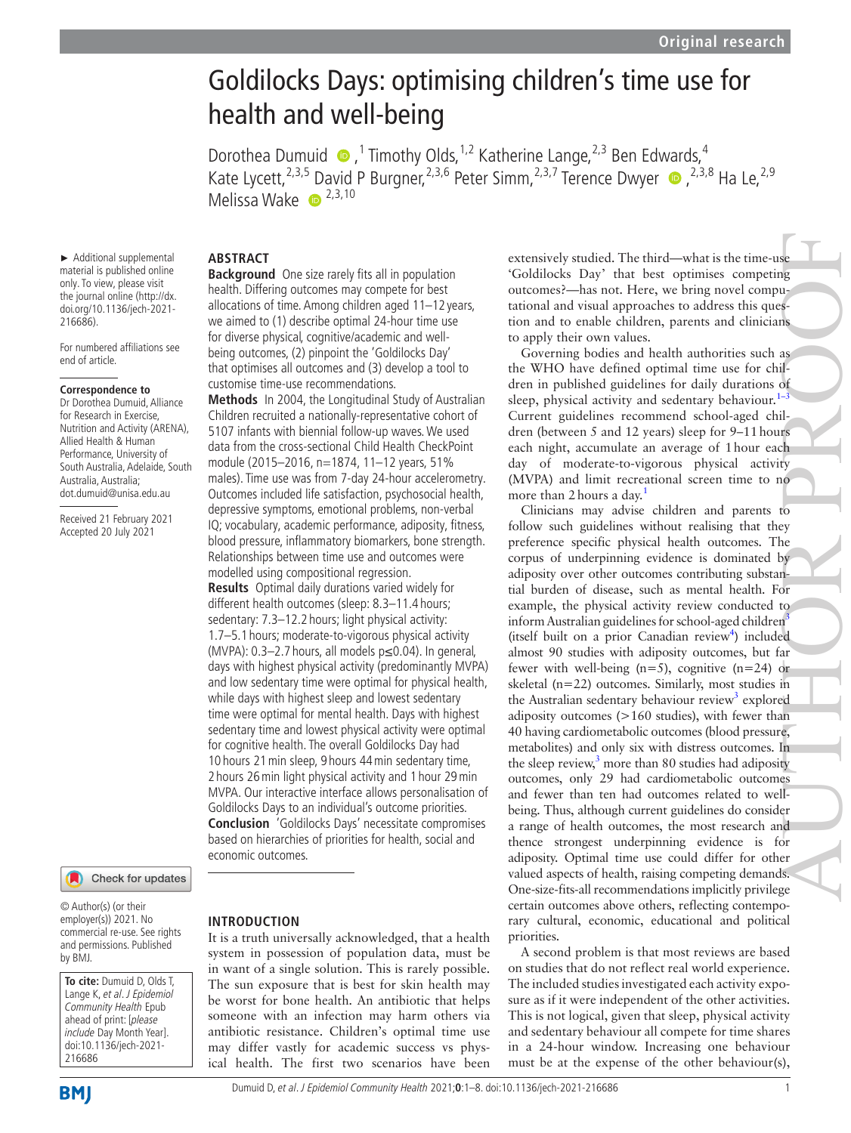# Goldilocks Days: optimising children's time use for health and well-being

DorotheaDumuid  $\bullet$ ,<sup>1</sup> Timothy Olds,<sup>1,2</sup> Katherine Lange,<sup>2,3</sup> Ben Edwards,<sup>4</sup> Kate Lycett,<sup>2,3,5</sup> David P Burgner,<sup>2,3,6</sup> Peter Simm,<sup>2,3,7</sup> Terence Dwyer  $\bullet$ ,<sup>2,3,8</sup> Ha Le,<sup>2,9</sup> Melissa Wake  $\bullet$ <sup>2,3,10</sup>

#### **ABSTRACT Background** One size rarely fits all in population

health. Differing outcomes may compete for best allocations of time. Among children aged 11–12 years, we aimed to (1) describe optimal 24-hour time use for diverse physical, cognitive/academic and wellbeing outcomes, (2) pinpoint the 'Goldilocks Day' that optimises all outcomes and (3) develop a tool to

**Methods** In 2004, the Longitudinal Study of Australian Children recruited a nationally-representative cohort of 5107 infants with biennial follow-up waves. We used data from the cross-sectional Child Health CheckPoint module (2015–2016, n=1874, 11–12 years, 51% males). Time use was from 7-day 24-hour accelerometry. Outcomes included life satisfaction, psychosocial health, depressive symptoms, emotional problems, non-verbal IQ; vocabulary, academic performance, adiposity, fitness, blood pressure, inflammatory biomarkers, bone strength. Relationships between time use and outcomes were

customise time-use recommendations.

modelled using compositional regression. **Results** Optimal daily durations varied widely for different health outcomes (sleep: 8.3–11.4 hours; sedentary: 7.3–12.2 hours; light physical activity: 1.7–5.1 hours; moderate-to-vigorous physical activity (MVPA): 0.3–2.7 hours, all models p≤0.04). In general, days with highest physical activity (predominantly MVPA) and low sedentary time were optimal for physical health, while days with highest sleep and lowest sedentary time were optimal for mental health. Days with highest sedentary time and lowest physical activity were optimal for cognitive health. The overall Goldilocks Day had 10 hours 21min sleep, 9 hours 44min sedentary time, 2 hours 26min light physical activity and 1 hour 29min MVPA. Our interactive interface allows personalisation of Goldilocks Days to an individual's outcome priorities. **Conclusion** 'Goldilocks Days' necessitate compromises based on hierarchies of priorities for health, social and

► Additional supplemental material is published online only. To view, please visit the journal online [\(http://dx.](http://dx.doi.org/10.1136/jech-2021-216686) [doi.org/10.1136/jech-2021-](http://dx.doi.org/10.1136/jech-2021-216686) [216686](http://dx.doi.org/10.1136/jech-2021-216686)).

For numbered affiliations see end of article.

#### **Correspondence to**

Dr Dorothea Dumuid, Alliance for Research in Exercise, Nutrition and Activity (ARENA), Allied Health & Human Performance, University of South Australia, Adelaide, South Australia, Australia; dot.dumuid@unisa.edu.au

Received 21 February 2021 Accepted 20 July 2021



© Author(s) (or their employer(s)) 2021. No commercial re-use. See rights and permissions. Published by BMJ.

**To cite:** Dumuid D, Olds T, Lange K, et al. J Epidemiol Community Health Epub ahead of print: [please include Day Month Year]. doi:10.1136/jech-2021- 216686

# **INTRODUCTION**

economic outcomes.

It is a truth universally acknowledged, that a health system in possession of population data, must be in want of a single solution. This is rarely possible. The sun exposure that is best for skin health may be worst for bone health. An antibiotic that helps someone with an infection may harm others via antibiotic resistance. Children's optimal time use may differ vastly for academic success vs physical health. The first two scenarios have been

extensively studied. The third—what is the time-use 'Goldilocks Day' that best optimises competing outcomes?—has not. Here, we bring novel computational and visual approaches to address this question and to enable children, parents and clinicians to apply their own values.

Governing bodies and health authorities such as the WHO have defined optimal time use for children in published guidelines for daily durations of sleep, physical activity and sedentary behaviour. $1-3$ Current guidelines recommend school-aged children (between 5 and 12 years) sleep for 9–11hours each night, accumulate an average of 1hour each day of moderate-to-vigorous physical activity (MVPA) and limit recreational screen time to no more than 2 hours a day.<sup>[1](#page-7-0)</sup>

Clinicians may advise children and parents to follow such guidelines without realising that they preference specific physical health outcomes. The corpus of underpinning evidence is dominated by adiposity over other outcomes contributing substantial burden of disease, such as mental health. For example, the physical activity review conducted to inform Australian guidelines for school-aged children $3$ (itself built on a prior Canadian review<sup>4</sup>) included almost 90 studies with adiposity outcomes, but far fewer with well-being  $(n=5)$ , cognitive  $(n=24)$  or skeletal (n=22) outcomes. Similarly, most studies in the Australian sedentary behaviour review<sup>3</sup> explored adiposity outcomes (>160 studies), with fewer than 40 having cardiometabolic outcomes (blood pressure, metabolites) and only six with distress outcomes. In the sleep review, $3 \text{ more than } 80$  $3 \text{ more than } 80$  studies had adiposity outcomes, only 29 had cardiometabolic outcomes and fewer than ten had outcomes related to wellbeing. Thus, although current guidelines do consider a range of health outcomes, the most research and thence strongest underpinning evidence is for adiposity. Optimal time use could differ for other valued aspects of health, raising competing demands. One-size-fits-all recommendations implicitly privilege certain outcomes above others, reflecting contemporary cultural, economic, educational and political priorities. extensively smdied. The third—what is the time-asse<br>Coldilocks Day' that best optimises competing<br>notcomes?—has not. Here, we bring note clomps<br>national and visual approaches to address this quest-<br>nation and to enable chi

A second problem is that most reviews are based on studies that do not reflect real world experience. The included studies investigated each activity exposure as if it were independent of the other activities. This is not logical, given that sleep, physical activity and sedentary behaviour all compete for time shares in a 24-hour window. Increasing one behaviour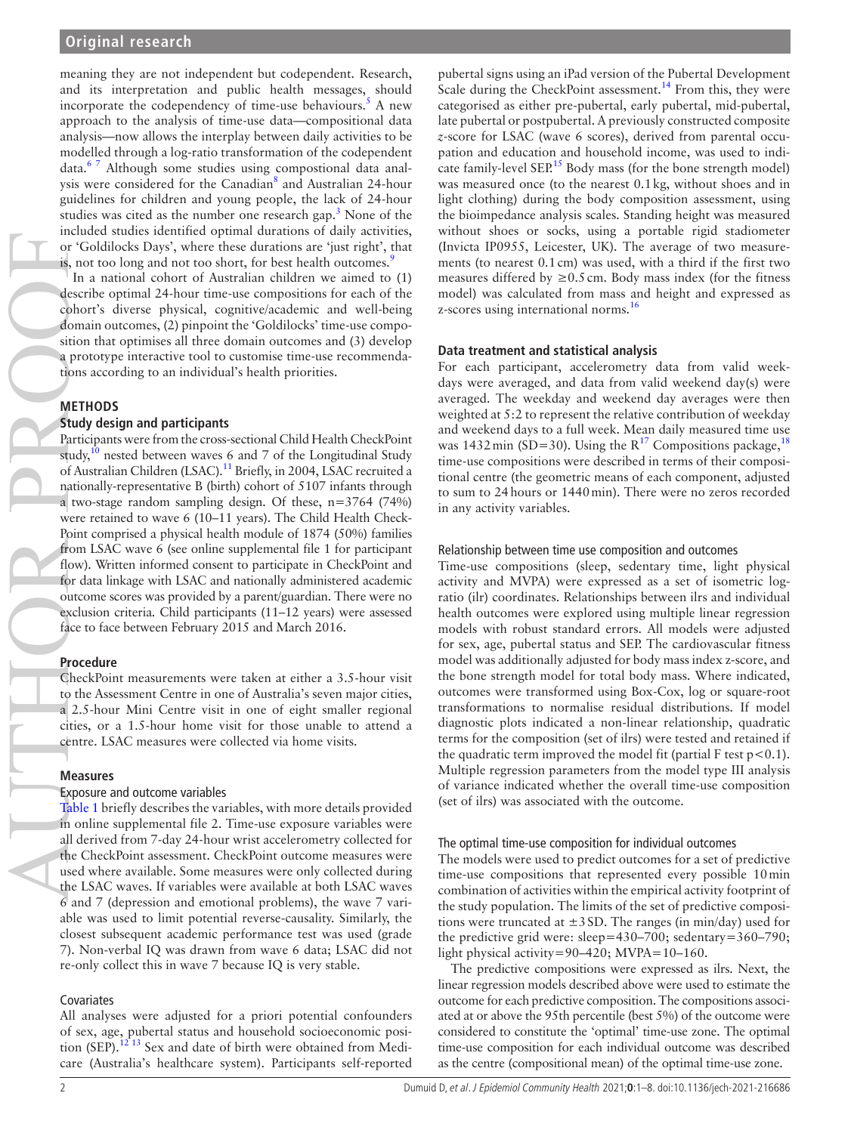meaning they are not independent but codependent. Research, and its interpretation and public health messages, should incorporate the codependency of time-use behaviours.<sup>[5](#page-7-3)</sup> A new approach to the analysis of time-use data—compositional data analysis—now allows the interplay between daily activities to be modelled through a log-ratio transformation of the codependent data.[6 7](#page-7-4) Although some studies using compostional data analysis were considered for the Canadian<sup>8</sup> and Australian 24-hour guidelines for children and young people, the lack of 24-hour studies was cited as the number one research gap. $3$  None of the included studies identified optimal durations of daily activities, or 'Goldilocks Days', where these durations are 'just right', that is, not too long and not too short, for best health outcomes.<sup>[9](#page-7-6)</sup>

In a national cohort of Australian children we aimed to (1) describe optimal 24-hour time-use compositions for each of the cohort's diverse physical, cognitive/academic and well-being domain outcomes, (2) pinpoint the 'Goldilocks' time-use composition that optimises all three domain outcomes and (3) develop a prototype interactive tool to customise time-use recommendations according to an individual's health priorities.

# **METHODS**

# **Study design and participants**

Participants were from the cross-sectional Child Health CheckPoint study,<sup>10</sup> nested between waves 6 and 7 of the Longitudinal Study of Australian Children (LSAC).<sup>11</sup> Briefly, in 2004, LSAC recruited a nationally-representative B (birth) cohort of 5107 infants through a two-stage random sampling design. Of these,  $n=3764$  (74%) were retained to wave 6 (10–11 years). The Child Health Check-Point comprised a physical health module of 1874 (50%) families from LSAC wave 6 (see [online supplemental file 1](https://dx.doi.org/10.1136/jech-2021-216686) for participant flow). Written informed consent to participate in CheckPoint and for data linkage with LSAC and nationally administered academic outcome scores was provided by a parent/guardian. There were no exclusion criteria. Child participants (11–12 years) were assessed face to face between February 2015 and March 2016.

# **Procedure**

CheckPoint measurements were taken at either a 3.5-hour visit to the Assessment Centre in one of Australia's seven major cities, a 2.5-hour Mini Centre visit in one of eight smaller regional cities, or a 1.5-hour home visit for those unable to attend a centre. LSAC measures were collected via home visits.

# **Measures**

#### Exposure and outcome variables

[Table](#page-2-0) 1 briefly describes the variables, with more details provided in [online supplemental file 2.](https://dx.doi.org/10.1136/jech-2021-216686) Time-use exposure variables were all derived from 7-day 24-hour wrist accelerometry collected for the CheckPoint assessment. CheckPoint outcome measures were used where available. Some measures were only collected during the LSAC waves. If variables were available at both LSAC waves 6 and 7 (depression and emotional problems), the wave 7 variable was used to limit potential reverse-causality. Similarly, the closest subsequent academic performance test was used (grade 7). Non-verbal IQ was drawn from wave 6 data; LSAC did not re-only collect this in wave 7 because IQ is very stable.

# Covariates

All analyses were adjusted for a priori potential confounders of sex, age, pubertal status and household socioeconomic position (SEP).<sup>12 13</sup> Sex and date of birth were obtained from Medicare (Australia's healthcare system). Participants self-reported

pubertal signs using an iPad version of the Pubertal Development Scale during the CheckPoint assessment.<sup>14</sup> From this, they were categorised as either pre-pubertal, early pubertal, mid-pubertal, late pubertal or postpubertal. A previously constructed composite *z*-score for LSAC (wave 6 scores), derived from parental occupation and education and household income, was used to indicate family-level SEP.<sup>15</sup> Body mass (for the bone strength model) was measured once (to the nearest 0.1kg, without shoes and in light clothing) during the body composition assessment, using the bioimpedance analysis scales. Standing height was measured without shoes or socks, using a portable rigid stadiometer (Invicta IP0955, Leicester, UK). The average of two measurements (to nearest 0.1cm) was used, with a third if the first two measures differed by  $\geq 0.5$  cm. Body mass index (for the fitness model) was calculated from mass and height and expressed as z-scores using international norms.<sup>[16](#page-7-12)</sup>

# **Data treatment and statistical analysis**

For each participant, accelerometry data from valid weekdays were averaged, and data from valid weekend day(s) were averaged. The weekday and weekend day averages were then weighted at 5:2 to represent the relative contribution of weekday and weekend days to a full week. Mean daily measured time use was 1432 min (SD=30). Using the  $R^{17}$  $R^{17}$  $R^{17}$  Compositions package,  $^{18}$  $^{18}$  $^{18}$ time-use compositions were described in terms of their compositional centre (the geometric means of each component, adjusted to sum to 24hours or 1440min). There were no zeros recorded in any activity variables.

#### Relationship between time use composition and outcomes

Time-use compositions (sleep, sedentary time, light physical activity and MVPA) were expressed as a set of isometric logratio (ilr) coordinates. Relationships between ilrs and individual health outcomes were explored using multiple linear regression models with robust standard errors. All models were adjusted for sex, age, pubertal status and SEP. The cardiovascular fitness model was additionally adjusted for body mass index z-score, and the bone strength model for total body mass. Where indicated, outcomes were transformed using Box-Cox, log or square-root transformations to normalise residual distributions. If model diagnostic plots indicated a non-linear relationship, quadratic terms for the composition (set of ilrs) were tested and retained if the quadratic term improved the model fit (partial F test  $p < 0.1$ ). Multiple regression parameters from the model type III analysis of variance indicated whether the overall time-use composition (set of ilrs) was associated with the outcome.

#### The optimal time-use composition for individual outcomes

The models were used to predict outcomes for a set of predictive time-use compositions that represented every possible 10min combination of activities within the empirical activity footprint of the study population. The limits of the set of predictive compositions were truncated at  $\pm 3$  SD. The ranges (in min/day) used for the predictive grid were: sleep=430–700; sedentary=360–790; light physical activity=90–420; MVPA=10–160.

The predictive compositions were expressed as ilrs. Next, the linear regression models described above were used to estimate the outcome for each predictive composition. The compositions associated at or above the 95th percentile (best 5%) of the outcome were considered to constitute the 'optimal' time-use zone. The optimal time-use composition for each individual outcome was described as the centre (compositional mean) of the optimal time-use zone.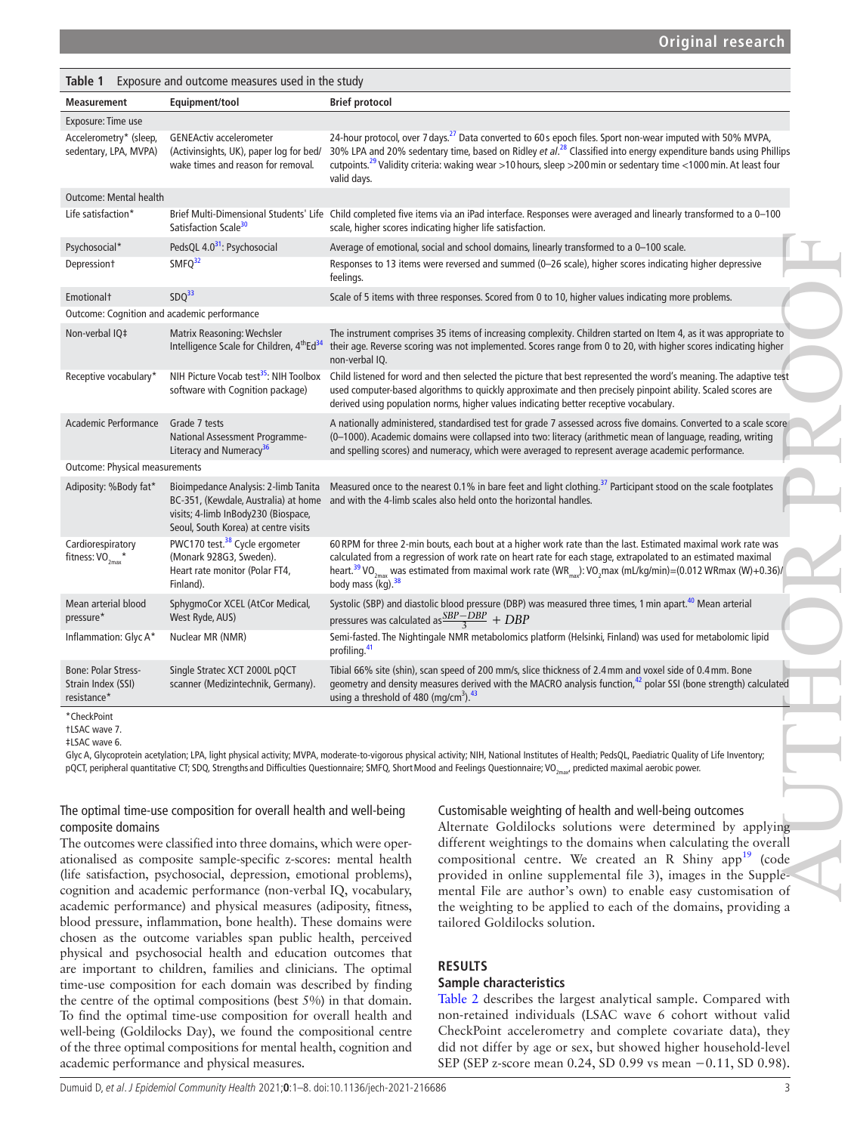# **Original research**

<span id="page-2-0"></span>

| Exposure and outcome measures used in the study<br>Table 1      |                                                                                                                                                                                                                                                                                                                                                     |                                                                                                                                                                                                                                                                                                                                                                                                                    |  |  |
|-----------------------------------------------------------------|-----------------------------------------------------------------------------------------------------------------------------------------------------------------------------------------------------------------------------------------------------------------------------------------------------------------------------------------------------|--------------------------------------------------------------------------------------------------------------------------------------------------------------------------------------------------------------------------------------------------------------------------------------------------------------------------------------------------------------------------------------------------------------------|--|--|
| <b>Measurement</b>                                              | Equipment/tool                                                                                                                                                                                                                                                                                                                                      | <b>Brief protocol</b>                                                                                                                                                                                                                                                                                                                                                                                              |  |  |
| Exposure: Time use                                              |                                                                                                                                                                                                                                                                                                                                                     |                                                                                                                                                                                                                                                                                                                                                                                                                    |  |  |
| Accelerometry* (sleep,<br>sedentary, LPA, MVPA)                 | <b>GENEActiv accelerometer</b><br>(Activinsights, UK), paper log for bed/<br>wake times and reason for removal.                                                                                                                                                                                                                                     | 24-hour protocol, over 7 days. <sup>27</sup> Data converted to 60 s epoch files. Sport non-wear imputed with 50% MVPA,<br>30% LPA and 20% sedentary time, based on Ridley et al. <sup>28</sup> Classified into energy expenditure bands using Phillips<br>cutpoints. <sup>29</sup> Validity criteria: waking wear >10 hours, sleep >200 min or sedentary time <1000 min. At least four<br>valid days.              |  |  |
| <b>Outcome: Mental health</b>                                   |                                                                                                                                                                                                                                                                                                                                                     |                                                                                                                                                                                                                                                                                                                                                                                                                    |  |  |
| Life satisfaction*                                              | Satisfaction Scale <sup>30</sup>                                                                                                                                                                                                                                                                                                                    | Brief Multi-Dimensional Students' Life Child completed five items via an iPad interface. Responses were averaged and linearly transformed to a 0-100<br>scale, higher scores indicating higher life satisfaction.                                                                                                                                                                                                  |  |  |
| Psychosocial*                                                   | PedsQL 4.0 <sup>31</sup> : Psychosocial                                                                                                                                                                                                                                                                                                             | Average of emotional, social and school domains, linearly transformed to a 0-100 scale.                                                                                                                                                                                                                                                                                                                            |  |  |
| Depression <sup>+</sup>                                         | SMFQ <sup>32</sup>                                                                                                                                                                                                                                                                                                                                  | Responses to 13 items were reversed and summed (0-26 scale), higher scores indicating higher depressive<br>feelings.                                                                                                                                                                                                                                                                                               |  |  |
| Emotional <sup>+</sup>                                          | SDQ <sup>33</sup>                                                                                                                                                                                                                                                                                                                                   | Scale of 5 items with three responses. Scored from 0 to 10, higher values indicating more problems.                                                                                                                                                                                                                                                                                                                |  |  |
| Outcome: Cognition and academic performance                     |                                                                                                                                                                                                                                                                                                                                                     |                                                                                                                                                                                                                                                                                                                                                                                                                    |  |  |
| Non-verbal IQ‡                                                  | <b>Matrix Reasoning: Wechsler</b><br>Intelligence Scale for Children, 4 <sup>th</sup> Ed <sup>34</sup>                                                                                                                                                                                                                                              | The instrument comprises 35 items of increasing complexity. Children started on Item 4, as it was appropriate to<br>their age. Reverse scoring was not implemented. Scores range from 0 to 20, with higher scores indicating higher<br>non-verbal IQ.                                                                                                                                                              |  |  |
| Receptive vocabulary*                                           | software with Cognition package)                                                                                                                                                                                                                                                                                                                    | NIH Picture Vocab test <sup>35</sup> : NIH Toolbox Child listened for word and then selected the picture that best represented the word's meaning. The adaptive test<br>used computer-based algorithms to quickly approximate and then precisely pinpoint ability. Scaled scores are<br>derived using population norms, higher values indicating better receptive vocabulary.                                      |  |  |
| Academic Performance                                            | Grade 7 tests<br>National Assessment Programme-<br>Literacy and Numeracy <sup>36</sup>                                                                                                                                                                                                                                                              | A nationally administered, standardised test for grade 7 assessed across five domains. Converted to a scale score<br>(0-1000). Academic domains were collapsed into two: literacy (arithmetic mean of language, reading, writing<br>and spelling scores) and numeracy, which were averaged to represent average academic performance.                                                                              |  |  |
| <b>Outcome: Physical measurements</b>                           |                                                                                                                                                                                                                                                                                                                                                     |                                                                                                                                                                                                                                                                                                                                                                                                                    |  |  |
| Adiposity: %Body fat*                                           | Bioimpedance Analysis: 2-limb Tanita<br>visits; 4-limb InBody230 (Biospace,<br>Seoul, South Korea) at centre visits                                                                                                                                                                                                                                 | Measured once to the nearest 0.1% in bare feet and light clothing. <sup>37</sup> Participant stood on the scale footplates<br>BC-351, (Kewdale, Australia) at home and with the 4-limb scales also held onto the horizontal handles.                                                                                                                                                                               |  |  |
| Cardiorespiratory<br>fitness: $VO_{2max}$ *                     | PWC170 test. <sup>38</sup> Cycle ergometer<br>(Monark 928G3, Sweden).<br>Heart rate monitor (Polar FT4,<br>Finland).                                                                                                                                                                                                                                | 60 RPM for three 2-min bouts, each bout at a higher work rate than the last. Estimated maximal work rate was<br>calculated from a regression of work rate on heart rate for each stage, extrapolated to an estimated maximal<br>heart. <sup>39</sup> VO <sub>2max</sub> was estimated from maximal work rate (WR <sub>max</sub> ): VO <sub>2</sub> max (mL/kg/min)=(0.012 WRmax (W)+0.36)/<br>body mass (kg). $38$ |  |  |
| Mean arterial blood<br>pressure*                                | SphygmoCor XCEL (AtCor Medical,<br>West Ryde, AUS)                                                                                                                                                                                                                                                                                                  | Systolic (SBP) and diastolic blood pressure (DBP) was measured three times, 1 min apart. <sup>40</sup> Mean arterial<br>pressures was calculated as $\frac{SBP - DBP}{3} + DBP$                                                                                                                                                                                                                                    |  |  |
| Inflammation: Glyc A*                                           | Nuclear MR (NMR)                                                                                                                                                                                                                                                                                                                                    | Semi-fasted. The Nightingale NMR metabolomics platform (Helsinki, Finland) was used for metabolomic lipid<br>profiling. <sup>41</sup>                                                                                                                                                                                                                                                                              |  |  |
| <b>Bone: Polar Stress-</b><br>Strain Index (SSI)<br>resistance* | Single Stratec XCT 2000L pQCT<br>scanner (Medizintechnik, Germany).                                                                                                                                                                                                                                                                                 | Tibial 66% site (shin), scan speed of 200 mm/s, slice thickness of 2.4 mm and voxel side of 0.4 mm. Bone<br>geometry and density measures derived with the MACRO analysis function, <sup>42</sup> polar SSI (bone strength) calculated<br>using a threshold of 480 (mg/cm <sup>3</sup> ). $43$                                                                                                                     |  |  |
| *CheckPoint<br>+LSAC wave 7.<br><b>‡LSAC</b> wave 6.            |                                                                                                                                                                                                                                                                                                                                                     | Glyc A, Glycoprotein acetylation; LPA, light physical activity; MVPA, moderate-to-vigorous physical activity; NIH, National Institutes of Health; PedsQL, Paediatric Quality of Life Inventory;<br>pQCT, peripheral quantitative CT; SDQ, Strengths and Difficulties Questionnaire; SMFQ, Short Mood and Feelings Questionnaire; VO <sub>2may</sub> , predicted maximal aerobic power.                             |  |  |
| composite domains                                               | The optimal time-use composition for overall health and well-being<br>The outcomes were classified into three domains, which were oper-<br>ationalised as composite sample-specific z-scores: mental health<br>(life satisfaction, psychosocial, depression, emotional problems),<br>cognition and academic performance (non-verbal IQ, vocabulary, | Customisable weighting of health and well-being outcomes<br>Alternate Goldilocks solutions were determined by applying<br>different weightings to the domains when calculating the overall<br>compositional centre. We created an R Shiny app <sup>19</sup> (code<br>provided in online supplemental file 3), images in the Supple-<br>mental File are author's own) to enable easy customisation of               |  |  |

The outcomes were classified into three domains, which were operationalised as composite sample-specific z-scores: mental health (life satisfaction, psychosocial, depression, emotional problems), cognition and academic performance (non-verbal IQ, vocabulary, academic performance) and physical measures (adiposity, fitness, blood pressure, inflammation, bone health). These domains were chosen as the outcome variables span public health, perceived physical and psychosocial health and education outcomes that are important to children, families and clinicians. The optimal time-use composition for each domain was described by finding the centre of the optimal compositions (best 5%) in that domain. To find the optimal time-use composition for overall health and well-being (Goldilocks Day), we found the compositional centre of the three optimal compositions for mental health, cognition and academic performance and physical measures.

Alternate Goldilocks solutions were determined by applying different weightings to the domains when calculating the overall compositional centre. We created an R Shiny app<sup>[19](#page-7-15)</sup> (code provided in [online supplemental file 3\)](https://dx.doi.org/10.1136/jech-2021-216686), images in the Supplemental File are author's own) to enable easy customisation of the weighting to be applied to each of the domains, providing a tailored Goldilocks solution.

# **RESULTS**

# **Sample characteristics**

[Table](#page-3-0) 2 describes the largest analytical sample. Compared with non-retained individuals (LSAC wave 6 cohort without valid CheckPoint accelerometry and complete covariate data), they did not differ by age or sex, but showed higher household-level SEP (SEP z-score mean 0.24, SD 0.99 vs mean −0.11, SD 0.98).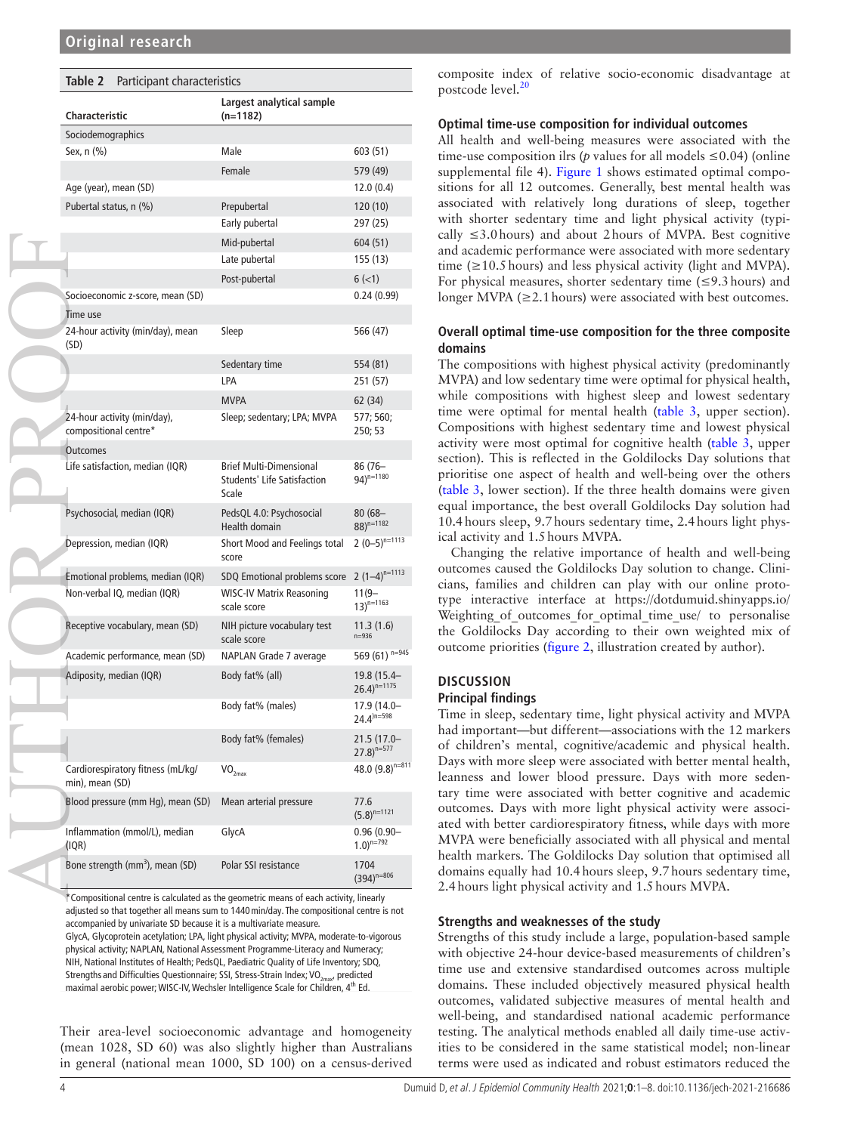<span id="page-3-0"></span>

| Table 2 | Participant characteristics |
|---------|-----------------------------|
|---------|-----------------------------|

| Characteristic                                                                                                                                                                                                                                                                                                                                                                                                                                                                                                                                                                                                                                                                                                                           | Largest analytical sample<br>$(n=1182)$                                |                                         |  |  |  |
|------------------------------------------------------------------------------------------------------------------------------------------------------------------------------------------------------------------------------------------------------------------------------------------------------------------------------------------------------------------------------------------------------------------------------------------------------------------------------------------------------------------------------------------------------------------------------------------------------------------------------------------------------------------------------------------------------------------------------------------|------------------------------------------------------------------------|-----------------------------------------|--|--|--|
| Sociodemographics                                                                                                                                                                                                                                                                                                                                                                                                                                                                                                                                                                                                                                                                                                                        |                                                                        |                                         |  |  |  |
| Sex, n (%)                                                                                                                                                                                                                                                                                                                                                                                                                                                                                                                                                                                                                                                                                                                               | Male                                                                   | 603 (51)                                |  |  |  |
|                                                                                                                                                                                                                                                                                                                                                                                                                                                                                                                                                                                                                                                                                                                                          | Female                                                                 | 579 (49)                                |  |  |  |
| Age (year), mean (SD)                                                                                                                                                                                                                                                                                                                                                                                                                                                                                                                                                                                                                                                                                                                    |                                                                        | 12.0 (0.4)                              |  |  |  |
| Pubertal status, n (%)                                                                                                                                                                                                                                                                                                                                                                                                                                                                                                                                                                                                                                                                                                                   | Prepubertal                                                            | 120 (10)                                |  |  |  |
|                                                                                                                                                                                                                                                                                                                                                                                                                                                                                                                                                                                                                                                                                                                                          | Early pubertal                                                         | 297 (25)                                |  |  |  |
|                                                                                                                                                                                                                                                                                                                                                                                                                                                                                                                                                                                                                                                                                                                                          | Mid-pubertal                                                           | 604 (51)                                |  |  |  |
|                                                                                                                                                                                                                                                                                                                                                                                                                                                                                                                                                                                                                                                                                                                                          | Late pubertal                                                          | 155 (13)                                |  |  |  |
|                                                                                                                                                                                                                                                                                                                                                                                                                                                                                                                                                                                                                                                                                                                                          | Post-pubertal                                                          | $6$ ( $<$ 1)                            |  |  |  |
| Socioeconomic z-score, mean (SD)                                                                                                                                                                                                                                                                                                                                                                                                                                                                                                                                                                                                                                                                                                         |                                                                        | 0.24(0.99)                              |  |  |  |
| Time use                                                                                                                                                                                                                                                                                                                                                                                                                                                                                                                                                                                                                                                                                                                                 |                                                                        |                                         |  |  |  |
| 24-hour activity (min/day), mean<br>(SD)                                                                                                                                                                                                                                                                                                                                                                                                                                                                                                                                                                                                                                                                                                 | Sleep                                                                  | 566 (47)                                |  |  |  |
|                                                                                                                                                                                                                                                                                                                                                                                                                                                                                                                                                                                                                                                                                                                                          | Sedentary time                                                         | 554 (81)                                |  |  |  |
|                                                                                                                                                                                                                                                                                                                                                                                                                                                                                                                                                                                                                                                                                                                                          | LPA                                                                    | 251 (57)                                |  |  |  |
|                                                                                                                                                                                                                                                                                                                                                                                                                                                                                                                                                                                                                                                                                                                                          | <b>MVPA</b>                                                            | 62 (34)                                 |  |  |  |
| 24-hour activity (min/day),<br>compositional centre*                                                                                                                                                                                                                                                                                                                                                                                                                                                                                                                                                                                                                                                                                     | Sleep; sedentary; LPA; MVPA                                            | 577; 560;<br>250; 53                    |  |  |  |
| <b>Outcomes</b>                                                                                                                                                                                                                                                                                                                                                                                                                                                                                                                                                                                                                                                                                                                          |                                                                        |                                         |  |  |  |
| Life satisfaction, median (IQR)                                                                                                                                                                                                                                                                                                                                                                                                                                                                                                                                                                                                                                                                                                          | <b>Brief Multi-Dimensional</b><br>Students' Life Satisfaction<br>Scale | 86 (76–<br>94) <sup>n=1180</sup>        |  |  |  |
| Psychosocial, median (IQR)                                                                                                                                                                                                                                                                                                                                                                                                                                                                                                                                                                                                                                                                                                               | PedsQL 4.0: Psychosocial<br>Health domain                              | $80(68 -$<br>$88)^{n=1182}$             |  |  |  |
| Depression, median (IQR)                                                                                                                                                                                                                                                                                                                                                                                                                                                                                                                                                                                                                                                                                                                 | Short Mood and Feelings total<br>score                                 | $2(0-5)^{n=1113}$                       |  |  |  |
| Emotional problems, median (IQR)                                                                                                                                                                                                                                                                                                                                                                                                                                                                                                                                                                                                                                                                                                         | SDQ Emotional problems score                                           | $2(1-4)^{n=1113}$                       |  |  |  |
| Non-verbal IQ, median (IQR)                                                                                                                                                                                                                                                                                                                                                                                                                                                                                                                                                                                                                                                                                                              | <b>WISC-IV Matrix Reasoning</b><br>scale score                         | 11(9–<br>$13)^{n=1163}$                 |  |  |  |
| Receptive vocabulary, mean (SD)                                                                                                                                                                                                                                                                                                                                                                                                                                                                                                                                                                                                                                                                                                          | NIH picture vocabulary test<br>scale score                             | 11.3 (1.6)<br>$n = 936$                 |  |  |  |
| Academic performance, mean (SD)                                                                                                                                                                                                                                                                                                                                                                                                                                                                                                                                                                                                                                                                                                          | NAPLAN Grade 7 average                                                 | 569 (61) $n=945$                        |  |  |  |
| Adiposity, median (IQR)                                                                                                                                                                                                                                                                                                                                                                                                                                                                                                                                                                                                                                                                                                                  | Body fat% (all)                                                        | 19.8 (15.4-<br>$26.4)^{n=1175}$         |  |  |  |
|                                                                                                                                                                                                                                                                                                                                                                                                                                                                                                                                                                                                                                                                                                                                          | Body fat% (males)                                                      | 17.9 (14.0-<br>$24.4^{)n=598}$          |  |  |  |
|                                                                                                                                                                                                                                                                                                                                                                                                                                                                                                                                                                                                                                                                                                                                          | Body fat% (females)                                                    | 21.5 (17.0-<br>$(27.8)^{n=577}$         |  |  |  |
| Cardiorespiratory fitness (mL/kg/<br>min), mean (SD)                                                                                                                                                                                                                                                                                                                                                                                                                                                                                                                                                                                                                                                                                     | VO <sub>2max</sub>                                                     | 48.0 $(9.8)^{n=811}$                    |  |  |  |
| Blood pressure (mm Hg), mean (SD)                                                                                                                                                                                                                                                                                                                                                                                                                                                                                                                                                                                                                                                                                                        | Mean arterial pressure                                                 | 77.6<br>$(5.8)^{n=1121}$                |  |  |  |
| Inflammation (mmol/L), median<br>(IQR)                                                                                                                                                                                                                                                                                                                                                                                                                                                                                                                                                                                                                                                                                                   | GlycA                                                                  | $0.96(0.90 -$<br>$1.0$ <sup>n=792</sup> |  |  |  |
| Bone strength (mm <sup>3</sup> ), mean (SD)                                                                                                                                                                                                                                                                                                                                                                                                                                                                                                                                                                                                                                                                                              | Polar SSI resistance                                                   | 1704<br>$(394)^{n=806}$                 |  |  |  |
| *Compositional centre is calculated as the geometric means of each activity, linearly<br>adjusted so that together all means sum to 1440 min/day. The compositional centre is not<br>accompanied by univariate SD because it is a multivariate measure.<br>GlycA, Glycoprotein acetylation; LPA, light physical activity; MVPA, moderate-to-vigorous<br>physical activity; NAPLAN, National Assessment Programme-Literacy and Numeracy;<br>NIH, National Institutes of Health; PedsQL, Paediatric Quality of Life Inventory; SDQ,<br>Strengths and Difficulties Questionnaire; SSI, Stress-Strain Index; VO <sub>2max</sub> , predicted<br>maximal aerobic power; WISC-IV, Wechsler Intelligence Scale for Children, 4 <sup>th</sup> Ed. |                                                                        |                                         |  |  |  |

Their area-level socioeconomic advantage and homogeneity (mean 1028, SD 60) was also slightly higher than Australians in general (national mean 1000, SD 100) on a census-derived

composite index of relative socio-economic disadvantage at postcode level.<sup>[20](#page-7-33)</sup>

#### **Optimal time-use composition for individual outcomes**

All health and well-being measures were associated with the time-use composition ilrs ( $p$  values for all models  $\leq 0.04$ ) [\(online](https://dx.doi.org/10.1136/jech-2021-216686) [supplemental file 4](https://dx.doi.org/10.1136/jech-2021-216686)). [Figure](#page-4-0) 1 shows estimated optimal compositions for all 12 outcomes. Generally, best mental health was associated with relatively long durations of sleep, together with shorter sedentary time and light physical activity (typically  $\leq$ 3.0 hours) and about 2 hours of MVPA. Best cognitive and academic performance were associated with more sedentary time  $(\geq 10.5 \text{ hours})$  and less physical activity (light and MVPA). For physical measures, shorter sedentary time  $(\leq 9.3 \text{ hours})$  and longer MVPA ( $\geq$ 2.1 hours) were associated with best outcomes.

#### **Overall optimal time-use composition for the three composite domains**

The compositions with highest physical activity (predominantly MVPA) and low sedentary time were optimal for physical health, while compositions with highest sleep and lowest sedentary time were optimal for mental health [\(table](#page-4-1) 3, upper section). Compositions with highest sedentary time and lowest physical activity were most optimal for cognitive health [\(table](#page-4-1) 3, upper section). This is reflected in the Goldilocks Day solutions that prioritise one aspect of health and well-being over the others ([table](#page-4-1) 3, lower section). If the three health domains were given equal importance, the best overall Goldilocks Day solution had 10.4hours sleep, 9.7hours sedentary time, 2.4hours light physical activity and 1.5hours MVPA.

Changing the relative importance of health and well-being outcomes caused the Goldilocks Day solution to change. Clinicians, families and children can play with our online prototype interactive interface at [https://dotdumuid.shinyapps.io/](https://dotdumuid.shinyapps.io/Weighting_of_outcomes_for_optimal_time_use/) Weighting of outcomes for optimal time use/ to personalise the Goldilocks Day according to their own weighted mix of outcome priorities [\(figure](#page-5-0) 2, illustration created by author).

#### **DISCUSSION Principal findings**

Time in sleep, sedentary time, light physical activity and MVPA had important—but different—associations with the 12 markers of children's mental, cognitive/academic and physical health. Days with more sleep were associated with better mental health, leanness and lower blood pressure. Days with more sedentary time were associated with better cognitive and academic outcomes. Days with more light physical activity were associated with better cardiorespiratory fitness, while days with more MVPA were beneficially associated with all physical and mental health markers. The Goldilocks Day solution that optimised all domains equally had 10.4hours sleep, 9.7hours sedentary time, 2.4hours light physical activity and 1.5hours MVPA.

#### **Strengths and weaknesses of the study**

Strengths of this study include a large, population-based sample with objective 24-hour device-based measurements of children's time use and extensive standardised outcomes across multiple domains. These included objectively measured physical health outcomes, validated subjective measures of mental health and well-being, and standardised national academic performance testing. The analytical methods enabled all daily time-use activities to be considered in the same statistical model; non-linear terms were used as indicated and robust estimators reduced the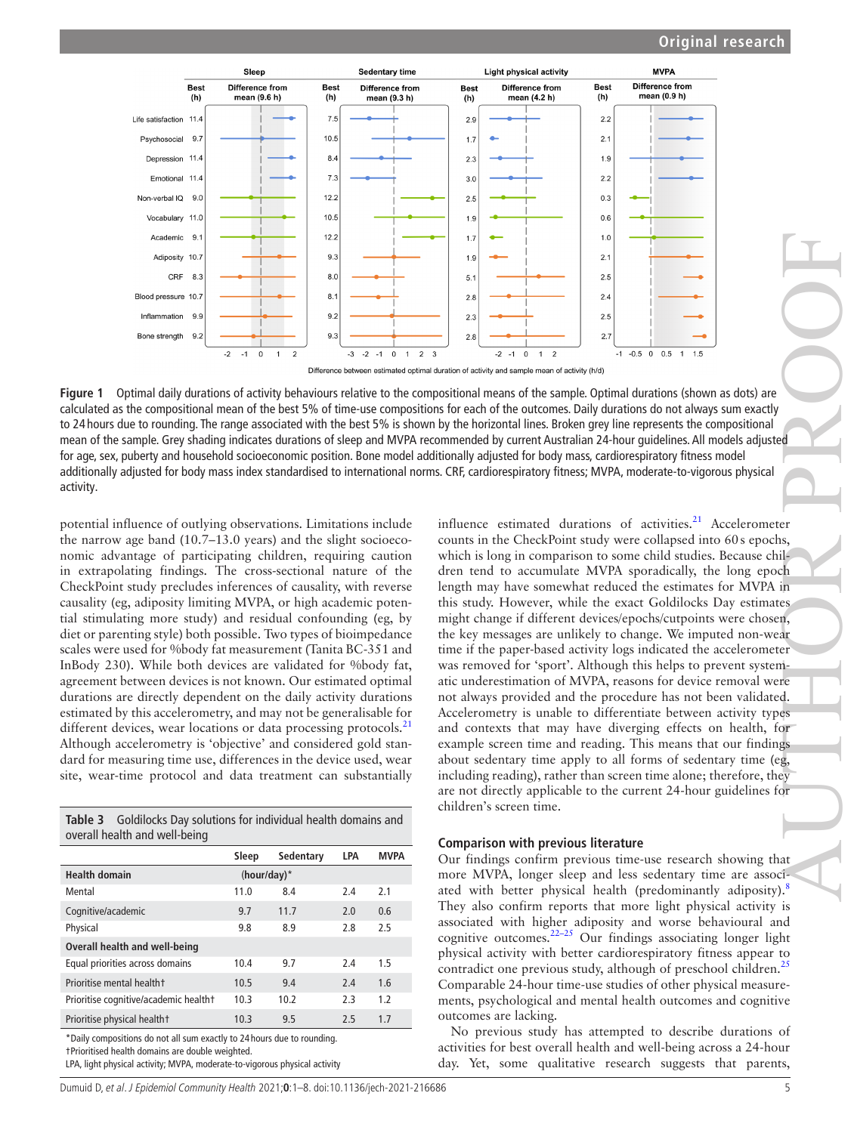

<span id="page-4-0"></span>**Figure 1** Optimal daily durations of activity behaviours relative to the compositional means of the sample. Optimal durations (shown as dots) are calculated as the compositional mean of the best 5% of time-use compositions for each of the outcomes. Daily durations do not always sum exactly to 24 hours due to rounding. The range associated with the best 5% is shown by the horizontal lines. Broken grey line represents the compositional mean of the sample. Grey shading indicates durations of sleep and MVPA recommended by current Australian 24-hour guidelines. All models adjusted for age, sex, puberty and household socioeconomic position. Bone model additionally adjusted for body mass, cardiorespiratory fitness model additionally adjusted for body mass index standardised to international norms. CRF, cardiorespiratory fitness; MVPA, moderate-to-vigorous physical activity.

potential influence of outlying observations. Limitations include the narrow age band (10.7–13.0 years) and the slight socioeconomic advantage of participating children, requiring caution in extrapolating findings. The cross-sectional nature of the CheckPoint study precludes inferences of causality, with reverse causality (eg, adiposity limiting MVPA, or high academic potential stimulating more study) and residual confounding (eg, by diet or parenting style) both possible. Two types of bioimpedance scales were used for %body fat measurement (Tanita BC-351 and InBody 230). While both devices are validated for %body fat, agreement between devices is not known. Our estimated optimal durations are directly dependent on the daily activity durations estimated by this accelerometry, and may not be generalisable for different devices, wear locations or data processing protocols. $^{21}$  $^{21}$  $^{21}$ Although accelerometry is 'objective' and considered gold standard for measuring time use, differences in the device used, wear site, wear-time protocol and data treatment can substantially

<span id="page-4-1"></span>

| <b>Table 3</b> Goldilocks Day solutions for individual health domains and |  |  |  |
|---------------------------------------------------------------------------|--|--|--|
| overall health and well-being                                             |  |  |  |

|                                       | Sleep          | Sedentary | LPA | <b>MVPA</b> |
|---------------------------------------|----------------|-----------|-----|-------------|
| <b>Health domain</b>                  | $(hour/day)^*$ |           |     |             |
| Mental                                | 11.0           | 8.4       | 2.4 | 2.1         |
| Cognitive/academic                    | 9.7            | 11.7      | 2.0 | 0.6         |
| Physical                              | 9.8            | 8.9       | 2.8 | 2.5         |
| Overall health and well-being         |                |           |     |             |
| Equal priorities across domains       | 10.4           | 9.7       | 2.4 | 1.5         |
| Prioritise mental healtht             | 10.5           | 9.4       | 2.4 | 1.6         |
| Prioritise cognitive/academic healtht | 10.3           | 10.2      | 2.3 | 1.2         |
| Prioritise physical healtht           | 10.3           | 9.5       | 2.5 | 1.7         |
|                                       |                |           |     |             |

\*Daily compositions do not all sum exactly to 24 hours due to rounding. †Prioritised health domains are double weighted.

LPA, light physical activity; MVPA, moderate-to-vigorous physical activity

influence estimated durations of activities.<sup>[21](#page-7-34)</sup> Accelerometer counts in the CheckPoint study were collapsed into 60s epochs, which is long in comparison to some child studies. Because children tend to accumulate MVPA sporadically, the long epoch length may have somewhat reduced the estimates for MVPA in this study. However, while the exact Goldilocks Day estimates might change if different devices/epochs/cutpoints were chosen, the key messages are unlikely to change. We imputed non-wear time if the paper-based activity logs indicated the accelerometer was removed for 'sport'. Although this helps to prevent systematic underestimation of MVPA, reasons for device removal were not always provided and the procedure has not been validated. Accelerometry is unable to differentiate between activity types and contexts that may have diverging effects on health, for example screen time and reading. This means that our findings about sedentary time apply to all forms of sedentary time (eg, including reading), rather than screen time alone; therefore, they are not directly applicable to the current 24-hour guidelines for children's screen time. [A](#page-7-5)UTHOR PROPERTY AT AUTHOR PROPERTY AND RESEARCH TO A REPORT OF THE SAUTHOR PROPERTY AND RESEARCH TO A REPORT OF THE SAUTHOR PROPERTY AND RESEARCH TO A REPORT OF THE SAUTHOR PROPERTY AND RELATION AND RELATION AND RELATION A

#### **Comparison with previous literature**

Our findings confirm previous time-use research showing that more MVPA, longer sleep and less sedentary time are associated with better physical health (predominantly adiposity).<sup>8</sup> They also confirm reports that more light physical activity is associated with higher adiposity and worse behavioural and cognitive outcomes.[22–25](#page-7-35) Our findings associating longer light physical activity with better cardiorespiratory fitness appear to contradict one previous study, although of preschool children.<sup>[25](#page-7-36)</sup> Comparable 24-hour time-use studies of other physical measurements, psychological and mental health outcomes and cognitive outcomes are lacking.

No previous study has attempted to describe durations of activities for best overall health and well-being across a 24-hour day. Yet, some qualitative research suggests that parents,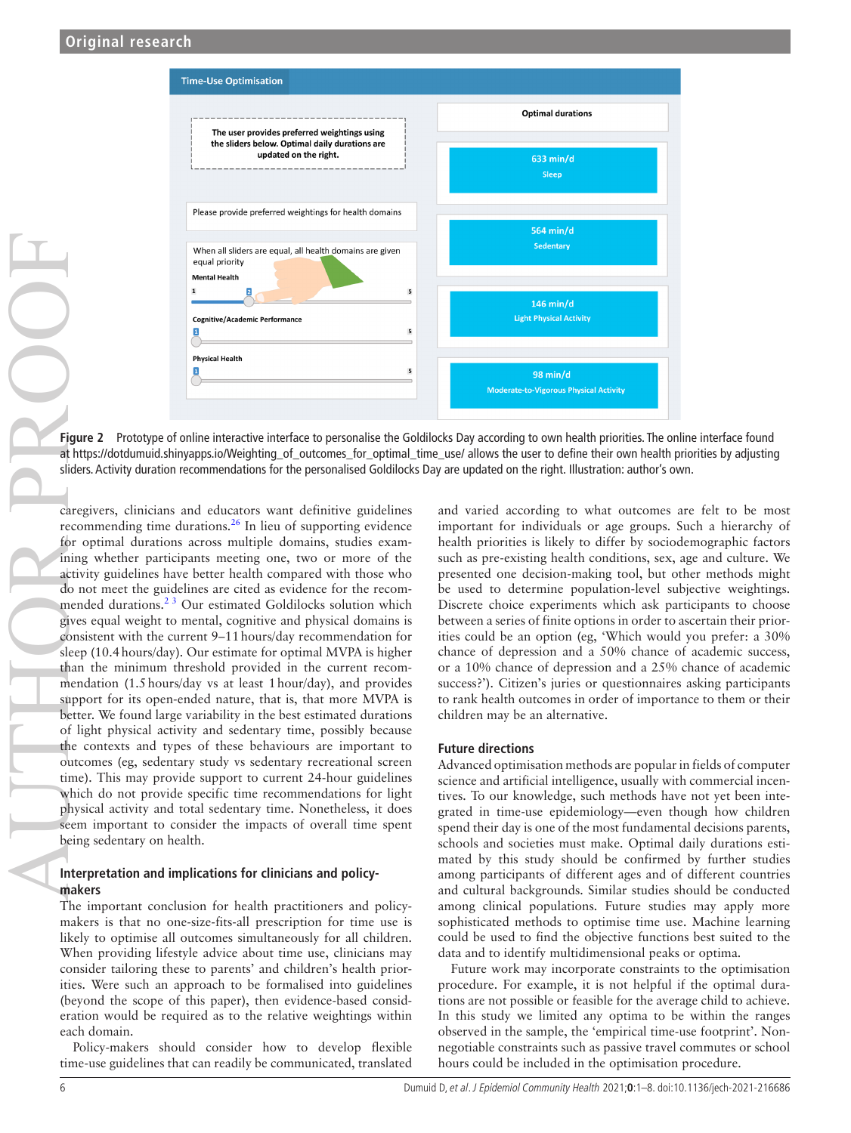

**Figure 2** Prototype of online interactive interface to personalise the Goldilocks Day according to own health priorities. The online interface found at [https://dotdumuid.shinyapps.io/Weighting\\_of\\_outcomes\\_for\\_optimal\\_time\\_use/](https://dotdumuid.shinyapps.io/Weighting_of_outcomes_for_optimal_time_use/) allows the user to define their own health priorities by adjusting

caregivers, clinicians and educators want definitive guidelines recommending time durations.[26](#page-7-37) In lieu of supporting evidence for optimal durations across multiple domains, studies examining whether participants meeting one, two or more of the activity guidelines have better health compared with those who do not meet the guidelines are cited as evidence for the recommended durations.<sup>23</sup> Our estimated Goldilocks solution which gives equal weight to mental, cognitive and physical domains is consistent with the current 9–11hours/day recommendation for sleep (10.4hours/day). Our estimate for optimal MVPA is higher than the minimum threshold provided in the current recommendation (1.5hours/day vs at least 1hour/day), and provides support for its open-ended nature, that is, that more MVPA is better. We found large variability in the best estimated durations of light physical activity and sedentary time, possibly because the contexts and types of these behaviours are important to outcomes (eg, sedentary study vs sedentary recreational screen time). This may provide support to current 24-hour guidelines which do not provide specific time recommendations for light physical activity and total sedentary time. Nonetheless, it does seem important to consider the impacts of overall time spent being sedentary on health. structure of the personalistic recommendation recommendations for the personalised Goldilocks Day according to own health piccilies. The online and the right and the right. Illustration recommendation recommendation recomm

# **Interpretation and implications for clinicians and policymakers**

The important conclusion for health practitioners and policymakers is that no one-size-fits-all prescription for time use is likely to optimise all outcomes simultaneously for all children. When providing lifestyle advice about time use, clinicians may consider tailoring these to parents' and children's health priorities. Were such an approach to be formalised into guidelines (beyond the scope of this paper), then evidence-based consideration would be required as to the relative weightings within each domain.

Policy-makers should consider how to develop flexible time-use guidelines that can readily be communicated, translated <span id="page-5-0"></span>and varied according to what outcomes are felt to be most important for individuals or age groups. Such a hierarchy of health priorities is likely to differ by sociodemographic factors such as pre-existing health conditions, sex, age and culture. We presented one decision-making tool, but other methods might be used to determine population-level subjective weightings. Discrete choice experiments which ask participants to choose between a series of finite options in order to ascertain their priorities could be an option (eg, 'Which would you prefer: a 30% chance of depression and a 50% chance of academic success, or a 10% chance of depression and a 25% chance of academic success?'). Citizen's juries or questionnaires asking participants to rank health outcomes in order of importance to them or their children may be an alternative.

# **Future directions**

Advanced optimisation methods are popular in fields of computer science and artificial intelligence, usually with commercial incentives. To our knowledge, such methods have not yet been integrated in time-use epidemiology—even though how children spend their day is one of the most fundamental decisions parents, schools and societies must make. Optimal daily durations estimated by this study should be confirmed by further studies among participants of different ages and of different countries and cultural backgrounds. Similar studies should be conducted among clinical populations. Future studies may apply more sophisticated methods to optimise time use. Machine learning could be used to find the objective functions best suited to the data and to identify multidimensional peaks or optima.

Future work may incorporate constraints to the optimisation procedure. For example, it is not helpful if the optimal durations are not possible or feasible for the average child to achieve. In this study we limited any optima to be within the ranges observed in the sample, the 'empirical time-use footprint'. Nonnegotiable constraints such as passive travel commutes or school hours could be included in the optimisation procedure.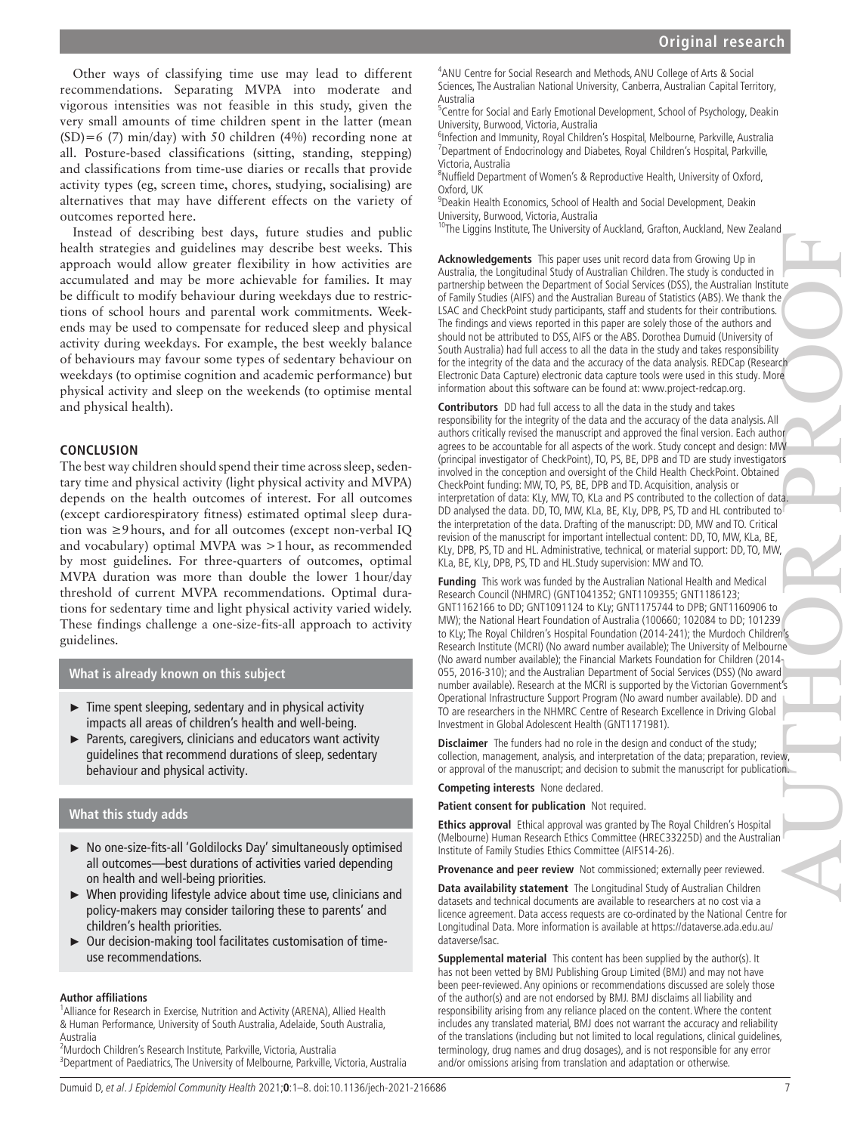Other ways of classifying time use may lead to different recommendations. Separating MVPA into moderate and vigorous intensities was not feasible in this study, given the very small amounts of time children spent in the latter (mean (SD)=6 (7) min/day) with 50 children (4%) recording none at all. Posture-based classifications (sitting, standing, stepping) and classifications from time-use diaries or recalls that provide activity types (eg, screen time, chores, studying, socialising) are alternatives that may have different effects on the variety of outcomes reported here.

Instead of describing best days, future studies and public health strategies and guidelines may describe best weeks. This approach would allow greater flexibility in how activities are accumulated and may be more achievable for families. It may be difficult to modify behaviour during weekdays due to restrictions of school hours and parental work commitments. Weekends may be used to compensate for reduced sleep and physical activity during weekdays. For example, the best weekly balance of behaviours may favour some types of sedentary behaviour on weekdays (to optimise cognition and academic performance) but physical activity and sleep on the weekends (to optimise mental and physical health).

# **CONCLUSION**

The best way children should spend their time across sleep, sedentary time and physical activity (light physical activity and MVPA) depends on the health outcomes of interest. For all outcomes (except cardiorespiratory fitness) estimated optimal sleep duration was ≥9hours, and for all outcomes (except non-verbal IQ and vocabulary) optimal MVPA was >1hour, as recommended by most guidelines. For three-quarters of outcomes, optimal MVPA duration was more than double the lower 1hour/day threshold of current MVPA recommendations. Optimal durations for sedentary time and light physical activity varied widely. These findings challenge a one-size-fits-all approach to activity guidelines.

# **What is already known on this subject**

- ► Time spent sleeping, sedentary and in physical activity impacts all areas of children's health and well-being.
- ► Parents, caregivers, clinicians and educators want activity guidelines that recommend durations of sleep, sedentary behaviour and physical activity.

# **What this study adds**

- ► No one-size-fits-all 'Goldilocks Day' simultaneously optimised all outcomes—best durations of activities varied depending on health and well-being priorities.
- ► When providing lifestyle advice about time use, clinicians and policy-makers may consider tailoring these to parents' and children's health priorities.
- ► Our decision-making tool facilitates customisation of timeuse recommendations.

#### **Author affiliations**

<sup>1</sup> Alliance for Research in Exercise, Nutrition and Activity (ARENA), Allied Health & Human Performance, University of South Australia, Adelaide, South Australia, Australia

2 Murdoch Children's Research Institute, Parkville, Victoria, Australia <sup>3</sup>Department of Paediatrics, The University of Melbourne, Parkville, Victoria, Australia

<sup>4</sup> ANU Centre for Social Research and Methods, ANU College of Arts & Social Sciences, The Australian National University, Canberra, Australian Capital Territory, Australia

<sup>5</sup>Centre for Social and Early Emotional Development, School of Psychology, Deakin University, Burwood, Victoria, Australia

<sup>6</sup>Infection and Immunity, Royal Children's Hospital, Melbourne, Parkville, Australia <sup>7</sup>Department of Endocrinology and Diabetes, Royal Children's Hospital, Parkville, Victoria, Australia

<sup>8</sup>Nuffield Department of Women's & Reproductive Health, University of Oxford, Oxford, UK

9 Deakin Health Economics, School of Health and Social Development, Deakin University, Burwood, Victoria, Australia

<sup>10</sup>The Liggins Institute, The University of Auckland, Grafton, Auckland, New Zealand

**Acknowledgements** This paper uses unit record data from Growing Up in Australia, the Longitudinal Study of Australian Children. The study is conducted in partnership between the Department of Social Services (DSS), the Australian Institute of Family Studies (AIFS) and the Australian Bureau of Statistics (ABS). We thank the LSAC and CheckPoint study participants, staff and students for their contributions. The findings and views reported in this paper are solely those of the authors and should not be attributed to DSS, AIFS or the ABS. Dorothea Dumuid (University of South Australia) had full access to all the data in the study and takes responsibility for the integrity of the data and the accuracy of the data analysis. REDCap (Research Electronic Data Capture) electronic data capture tools were used in this study. More information about this software can be found at: [www.project-redcap.org](http://www.project-redcap.org/).

**Contributors** DD had full access to all the data in the study and takes responsibility for the integrity of the data and the accuracy of the data analysis. All authors critically revised the manuscript and approved the final version. Each author agrees to be accountable for all aspects of the work. Study concept and design: MW (principal investigator of CheckPoint), TO, PS, BE, DPB and TD are study investigators involved in the conception and oversight of the Child Health CheckPoint. Obtained CheckPoint funding: MW, TO, PS, BE, DPB and TD. Acquisition, analysis or interpretation of data: KLy, MW, TO, KLa and PS contributed to the collection of data. DD analysed the data. DD, TO, MW, KLa, BE, KLy, DPB, PS, TD and HL contributed to the interpretation of the data. Drafting of the manuscript: DD, MW and TO. Critical revision of the manuscript for important intellectual content: DD, TO, MW, KLa, BE, KLy, DPB, PS, TD and HL. Administrative, technical, or material support: DD, TO, MW, KLa, BE, KLy, DPB, PS, TD and HL.Study supervision: MW and TO. AUTHOR PROOF

**Funding** This work was funded by the Australian National Health and Medical Research Council (NHMRC) (GNT1041352; GNT1109355; GNT1186123; GNT1162166 to DD; GNT1091124 to KLy; GNT1175744 to DPB; GNT1160906 to MW); the National Heart Foundation of Australia (100660; 102084 to DD; 101239 to KLy; The Royal Children's Hospital Foundation (2014-241); the Murdoch Children's Research Institute (MCRI) (No award number available); The University of Melbourne (No award number available); the Financial Markets Foundation for Children (2014 $<sub>1</sub>$ </sub> 055, 2016-310); and the Australian Department of Social Services (DSS) (No award number available). Research at the MCRI is supported by the Victorian Government's Operational Infrastructure Support Program (No award number available). DD and TO are researchers in the NHMRC Centre of Research Excellence in Driving Global Investment in Global Adolescent Health (GNT1171981).

**Disclaimer** The funders had no role in the design and conduct of the study; collection, management, analysis, and interpretation of the data; preparation, review, or approval of the manuscript; and decision to submit the manuscript for publication.

**Competing interests** None declared.

**Patient consent for publication** Not required.

**Ethics approval** Ethical approval was granted by The Royal Children's Hospital (Melbourne) Human Research Ethics Committee (HREC33225D) and the Australian Institute of Family Studies Ethics Committee (AIFS14-26).

**Provenance and peer review** Not commissioned; externally peer reviewed.

**Data availability statement** The Longitudinal Study of Australian Children datasets and technical documents are available to researchers at no cost via a licence agreement. Data access requests are co-ordinated by the National Centre for Longitudinal Data. More information is available at [https://dataverse.ada.edu.au/](https://dataverse.ada.edu.au/dataverse/lsac) [dataverse/lsac.](https://dataverse.ada.edu.au/dataverse/lsac)

**Supplemental material** This content has been supplied by the author(s). It has not been vetted by BMJ Publishing Group Limited (BMJ) and may not have been peer-reviewed. Any opinions or recommendations discussed are solely those of the author(s) and are not endorsed by BMJ. BMJ disclaims all liability and responsibility arising from any reliance placed on the content. Where the content includes any translated material, BMJ does not warrant the accuracy and reliability of the translations (including but not limited to local regulations, clinical guidelines, terminology, drug names and drug dosages), and is not responsible for any error and/or omissions arising from translation and adaptation or otherwise.